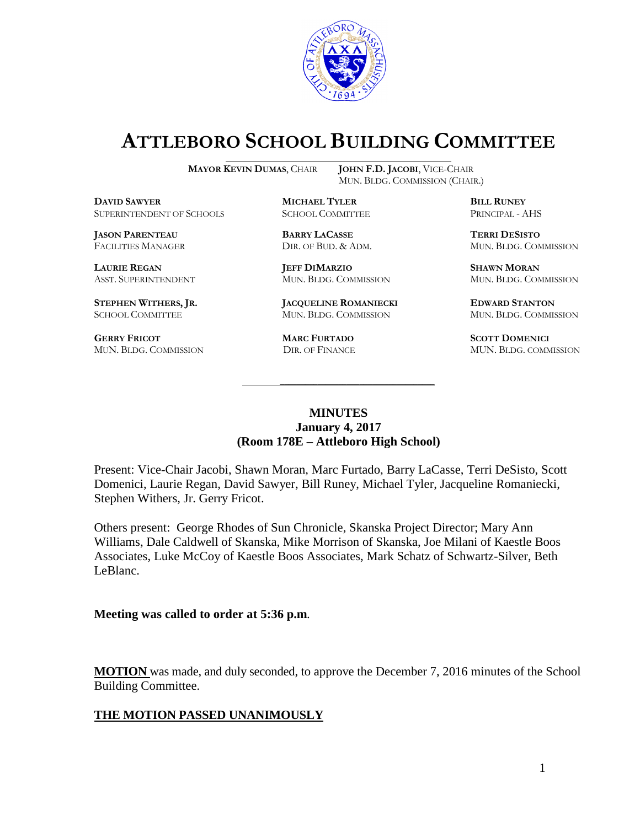

# **ATTLEBORO SCHOOL BUILDING COMMITTEE**

**DBILL RUNEY** SUPERINTENDENT OF SCHOOLS SCHOOL COMMITTEE **BILL RUNEY** PRINCIPAL - A SUPERINTENDENT OF SCHOOLS SCHOOL COMMITTEE PRINCIPAL - AHS

**JASON PARENTEAU BARRY LACASSE TERRI DESISTO**

**GERRY FRICOT MARC FURTADO SCOTT DOMENICI**  MUN. BLDG. COMMISSION DIR. OF FINANCE MUN. BLDG. COMMISSION

**MAYOR KEVIN DUMAS**, CHAIR **JOHN F.D. JACOBI**, VICE-CHAIR MUN. BLDG. COMMISSION (CHAIR.)

**LAURIE REGAN JEFF DIMARZIO SHAWN MORAN**

**STEPHEN WITHERS, JR. JACQUELINE ROMANIECKI EDWARD STANTON** SCHOOL COMMITTEE MUN. BLDG. COMMISSION MUN. BLDG. COMMISSION

FACILITIES MANAGER DIR. OF BUD. & ADM. MUN. BLDG. COMMISSION

ASST. SUPERINTENDENT MUN. BLDG. COMMISSION MUN. BLDG. COMMISSION

#### **MINUTES January 4, 2017 (Room 178E – Attleboro High School)**

\_\_\_\_\_\_\_\_\_\_\_\_\_\_\_\_\_\_\_\_\_\_\_\_\_\_\_\_\_\_\_\_\_\_\_\_\_

Present: Vice-Chair Jacobi, Shawn Moran, Marc Furtado, Barry LaCasse, Terri DeSisto, Scott Domenici, Laurie Regan, David Sawyer, Bill Runey, Michael Tyler, Jacqueline Romaniecki, Stephen Withers, Jr. Gerry Fricot.

Others present: George Rhodes of Sun Chronicle, Skanska Project Director; Mary Ann Williams, Dale Caldwell of Skanska, Mike Morrison of Skanska, Joe Milani of Kaestle Boos Associates, Luke McCoy of Kaestle Boos Associates, Mark Schatz of Schwartz-Silver, Beth LeBlanc.

#### **Meeting was called to order at 5:36 p.m**.

**MOTION** was made, and duly seconded, to approve the December 7, 2016 minutes of the School Building Committee.

## **THE MOTION PASSED UNANIMOUSLY**